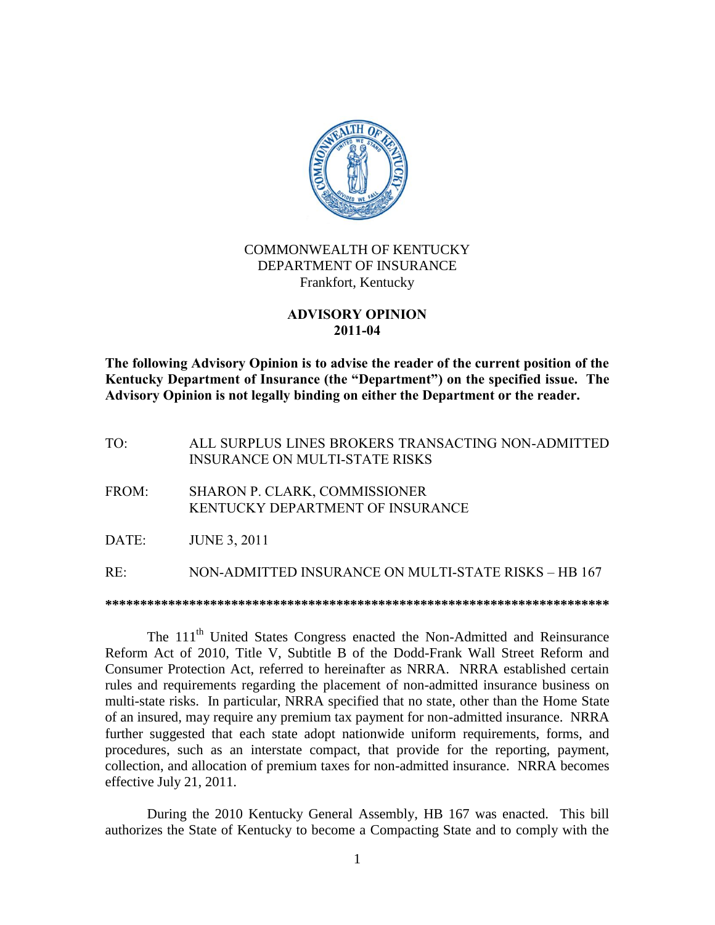

# COMMONWEALTH OF KENTUCKY DEPARTMENT OF INSURANCE Frankfort, Kentucky

### **ADVISORY OPINION 2011-04**

**The following Advisory Opinion is to advise the reader of the current position of the Kentucky Department of Insurance (the "Department") on the specified issue. The Advisory Opinion is not legally binding on either the Department or the reader.**

TO: ALL SURPLUS LINES BROKERS TRANSACTING NON-ADMITTED INSURANCE ON MULTI-STATE RISKS

- FROM: SHARON P. CLARK, COMMISSIONER KENTUCKY DEPARTMENT OF INSURANCE
- DATE: JUNE 3, 2011

RE: NON-ADMITTED INSURANCE ON MULTI-STATE RISKS – HB 167

**\*\*\*\*\*\*\*\*\*\*\*\*\*\*\*\*\*\*\*\*\*\*\*\*\*\*\*\*\*\*\*\*\*\*\*\*\*\*\*\*\*\*\*\*\*\*\*\*\*\*\*\*\*\*\*\*\*\*\*\*\*\*\*\*\*\*\*\*\*\*\*\***

The 111<sup>th</sup> United States Congress enacted the Non-Admitted and Reinsurance Reform Act of 2010, Title V, Subtitle B of the Dodd-Frank Wall Street Reform and Consumer Protection Act, referred to hereinafter as NRRA. NRRA established certain rules and requirements regarding the placement of non-admitted insurance business on multi-state risks. In particular, NRRA specified that no state, other than the Home State of an insured, may require any premium tax payment for non-admitted insurance. NRRA further suggested that each state adopt nationwide uniform requirements, forms, and procedures, such as an interstate compact, that provide for the reporting, payment, collection, and allocation of premium taxes for non-admitted insurance. NRRA becomes effective July 21, 2011.

During the 2010 Kentucky General Assembly, HB 167 was enacted. This bill authorizes the State of Kentucky to become a Compacting State and to comply with the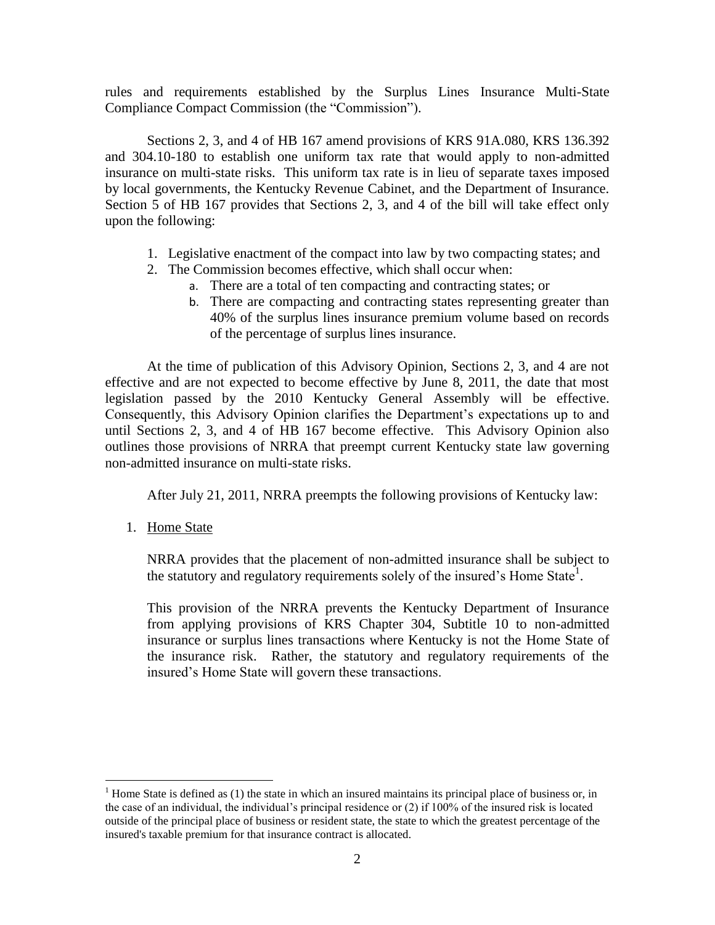rules and requirements established by the Surplus Lines Insurance Multi-State Compliance Compact Commission (the "Commission").

Sections 2, 3, and 4 of HB 167 amend provisions of KRS 91A.080, KRS 136.392 and 304.10-180 to establish one uniform tax rate that would apply to non-admitted insurance on multi-state risks. This uniform tax rate is in lieu of separate taxes imposed by local governments, the Kentucky Revenue Cabinet, and the Department of Insurance. Section 5 of HB 167 provides that Sections 2, 3, and 4 of the bill will take effect only upon the following:

- 1. Legislative enactment of the compact into law by two compacting states; and
- 2. The Commission becomes effective, which shall occur when:
	- a. There are a total of ten compacting and contracting states; or
	- b. There are compacting and contracting states representing greater than 40% of the surplus lines insurance premium volume based on records of the percentage of surplus lines insurance.

At the time of publication of this Advisory Opinion, Sections 2, 3, and 4 are not effective and are not expected to become effective by June 8, 2011, the date that most legislation passed by the 2010 Kentucky General Assembly will be effective. Consequently, this Advisory Opinion clarifies the Department's expectations up to and until Sections 2, 3, and 4 of HB 167 become effective. This Advisory Opinion also outlines those provisions of NRRA that preempt current Kentucky state law governing non-admitted insurance on multi-state risks.

After July 21, 2011, NRRA preempts the following provisions of Kentucky law:

1. Home State

 $\overline{a}$ 

NRRA provides that the placement of non-admitted insurance shall be subject to the statutory and regulatory requirements solely of the insured's Home State<sup>1</sup>.

This provision of the NRRA prevents the Kentucky Department of Insurance from applying provisions of KRS Chapter 304, Subtitle 10 to non-admitted insurance or surplus lines transactions where Kentucky is not the Home State of the insurance risk. Rather, the statutory and regulatory requirements of the insured's Home State will govern these transactions.

<sup>&</sup>lt;sup>1</sup> Home State is defined as (1) the state in which an insured maintains its principal place of business or, in the case of an individual, the individual's principal residence or (2) if 100% of the insured risk is located outside of the principal place of business or resident state, the state to which the greatest percentage of the insured's taxable premium for that insurance contract is allocated.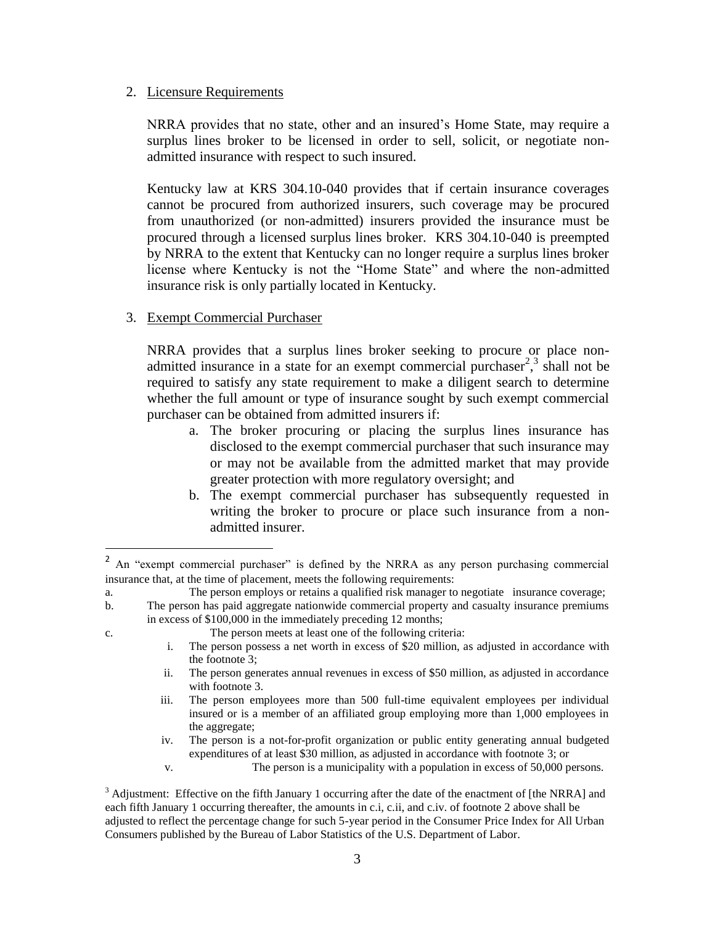### 2. Licensure Requirements

NRRA provides that no state, other and an insured's Home State, may require a surplus lines broker to be licensed in order to sell, solicit, or negotiate nonadmitted insurance with respect to such insured.

Kentucky law at KRS 304.10-040 provides that if certain insurance coverages cannot be procured from authorized insurers, such coverage may be procured from unauthorized (or non-admitted) insurers provided the insurance must be procured through a licensed surplus lines broker. KRS 304.10-040 is preempted by NRRA to the extent that Kentucky can no longer require a surplus lines broker license where Kentucky is not the "Home State" and where the non-admitted insurance risk is only partially located in Kentucky.

## 3. Exempt Commercial Purchaser

 $\overline{a}$ 

NRRA provides that a surplus lines broker seeking to procure or place nonadmitted insurance in a state for an exempt commercial purchaser<sup>2</sup>,<sup>3</sup> shall not be required to satisfy any state requirement to make a diligent search to determine whether the full amount or type of insurance sought by such exempt commercial purchaser can be obtained from admitted insurers if:

- a. The broker procuring or placing the surplus lines insurance has disclosed to the exempt commercial purchaser that such insurance may or may not be available from the admitted market that may provide greater protection with more regulatory oversight; and
- b. The exempt commercial purchaser has subsequently requested in writing the broker to procure or place such insurance from a nonadmitted insurer.

- i. The person possess a net worth in excess of \$20 million, as adjusted in accordance with the footnote 3;
- ii. The person generates annual revenues in excess of \$50 million, as adjusted in accordance with footnote 3.
- iii. The person employees more than 500 full-time equivalent employees per individual insured or is a member of an affiliated group employing more than 1,000 employees in the aggregate;
- iv. The person is a not-for-profit organization or public entity generating annual budgeted expenditures of at least \$30 million, as adjusted in accordance with footnote 3; or
- v. The person is a municipality with a population in excess of 50,000 persons.

<sup>&</sup>lt;sup>2</sup> An "exempt commercial purchaser" is defined by the NRRA as any person purchasing commercial insurance that, at the time of placement, meets the following requirements:

a. The person employs or retains a qualified risk manager to negotiate insurance coverage;

b. The person has paid aggregate nationwide commercial property and casualty insurance premiums in excess of \$100,000 in the immediately preceding 12 months;

c. The person meets at least one of the following criteria:

 $3$  Adjustment: Effective on the fifth January 1 occurring after the date of the enactment of [the NRRA] and each fifth January 1 occurring thereafter, the amounts in c.i, c.ii, and c.iv. of footnote 2 above shall be adjusted to reflect the percentage change for such 5-year period in the Consumer Price Index for All Urban Consumers published by the Bureau of Labor Statistics of the U.S. Department of Labor.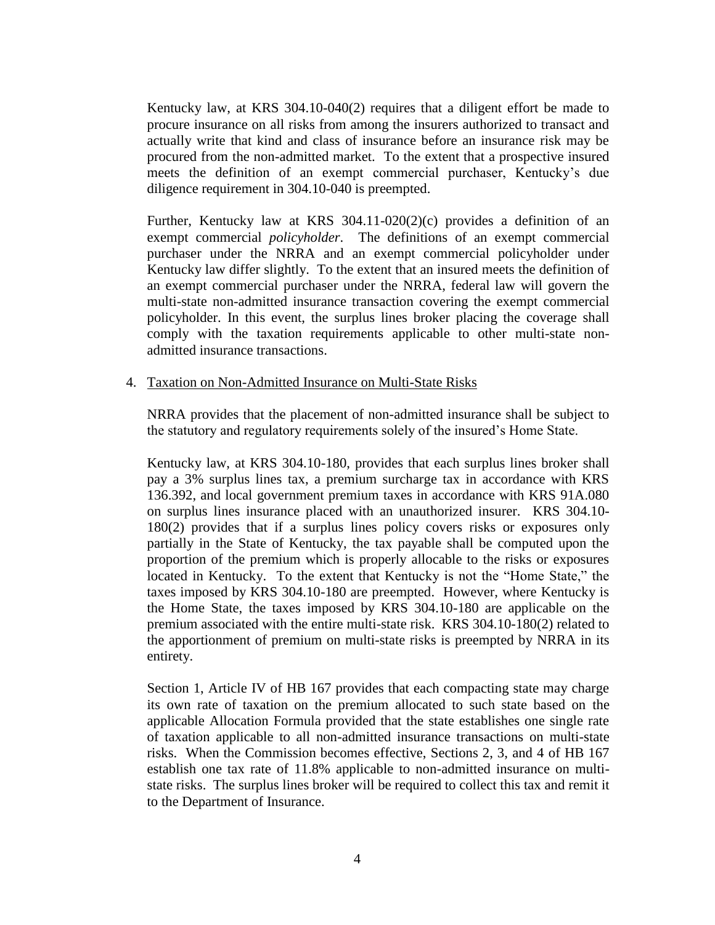Kentucky law, at KRS 304.10-040(2) requires that a diligent effort be made to procure insurance on all risks from among the insurers authorized to transact and actually write that kind and class of insurance before an insurance risk may be procured from the non-admitted market. To the extent that a prospective insured meets the definition of an exempt commercial purchaser, Kentucky's due diligence requirement in 304.10-040 is preempted.

Further, Kentucky law at KRS  $304.11-020(2)(c)$  provides a definition of an exempt commercial *policyholder*. The definitions of an exempt commercial purchaser under the NRRA and an exempt commercial policyholder under Kentucky law differ slightly. To the extent that an insured meets the definition of an exempt commercial purchaser under the NRRA, federal law will govern the multi-state non-admitted insurance transaction covering the exempt commercial policyholder. In this event, the surplus lines broker placing the coverage shall comply with the taxation requirements applicable to other multi-state nonadmitted insurance transactions.

#### 4. Taxation on Non-Admitted Insurance on Multi-State Risks

NRRA provides that the placement of non-admitted insurance shall be subject to the statutory and regulatory requirements solely of the insured's Home State.

Kentucky law, at KRS 304.10-180, provides that each surplus lines broker shall pay a 3% surplus lines tax, a premium surcharge tax in accordance with KRS 136.392, and local government premium taxes in accordance with KRS 91A.080 on surplus lines insurance placed with an unauthorized insurer. KRS 304.10- 180(2) provides that if a surplus lines policy covers risks or exposures only partially in the State of Kentucky, the tax payable shall be computed upon the proportion of the premium which is properly allocable to the risks or exposures located in Kentucky. To the extent that Kentucky is not the "Home State," the taxes imposed by KRS 304.10-180 are preempted. However, where Kentucky is the Home State, the taxes imposed by KRS 304.10-180 are applicable on the premium associated with the entire multi-state risk. KRS 304.10-180(2) related to the apportionment of premium on multi-state risks is preempted by NRRA in its entirety.

Section 1, Article IV of HB 167 provides that each compacting state may charge its own rate of taxation on the premium allocated to such state based on the applicable Allocation Formula provided that the state establishes one single rate of taxation applicable to all non-admitted insurance transactions on multi-state risks. When the Commission becomes effective, Sections 2, 3, and 4 of HB 167 establish one tax rate of 11.8% applicable to non-admitted insurance on multistate risks. The surplus lines broker will be required to collect this tax and remit it to the Department of Insurance.